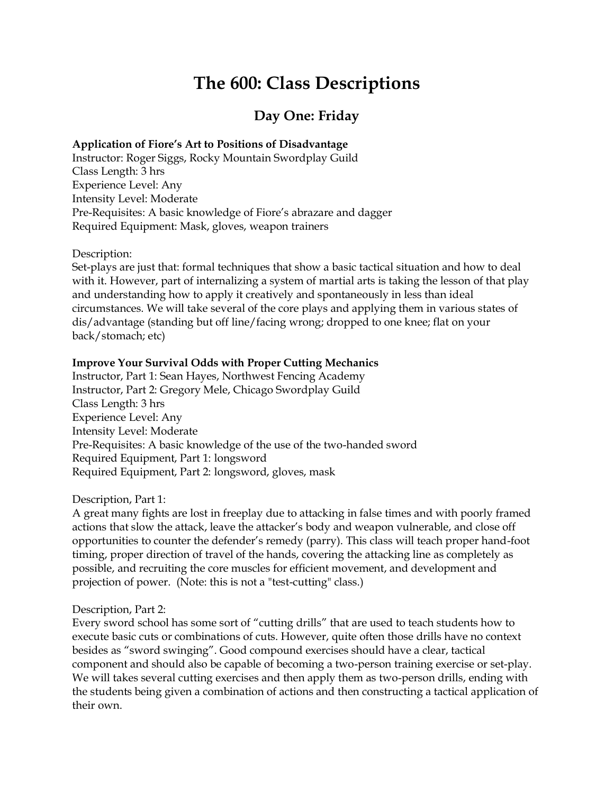# **The 600: Class Descriptions**

# **Day One: Friday**

#### **Application of Fiore's Art to Positions of Disadvantage**

Instructor: Roger Siggs, Rocky Mountain Swordplay Guild Class Length: 3 hrs Experience Level: Any Intensity Level: Moderate Pre-Requisites: A basic knowledge of Fiore's abrazare and dagger Required Equipment: Mask, gloves, weapon trainers

Description:

Set-plays are just that: formal techniques that show a basic tactical situation and how to deal with it. However, part of internalizing a system of martial arts is taking the lesson of that play and understanding how to apply it creatively and spontaneously in less than ideal circumstances. We will take several of the core plays and applying them in various states of dis/advantage (standing but off line/facing wrong; dropped to one knee; flat on your back/stomach; etc)

#### **Improve Your Survival Odds with Proper Cutting Mechanics**

Instructor, Part 1: Sean Hayes, Northwest Fencing Academy Instructor, Part 2: Gregory Mele, Chicago Swordplay Guild Class Length: 3 hrs Experience Level: Any Intensity Level: Moderate Pre-Requisites: A basic knowledge of the use of the two-handed sword Required Equipment, Part 1: longsword Required Equipment, Part 2: longsword, gloves, mask

Description, Part 1:

A great many fights are lost in freeplay due to attacking in false times and with poorly framed actions that slow the attack, leave the attacker's body and weapon vulnerable, and close off opportunities to counter the defender's remedy (parry). This class will teach proper hand-foot timing, proper direction of travel of the hands, covering the attacking line as completely as possible, and recruiting the core muscles for efficient movement, and development and projection of power. (Note: this is not a "test-cutting" class.)

#### Description, Part 2:

Every sword school has some sort of "cutting drills" that are used to teach students how to execute basic cuts or combinations of cuts. However, quite often those drills have no context besides as "sword swinging". Good compound exercises should have a clear, tactical component and should also be capable of becoming a two-person training exercise or set-play. We will takes several cutting exercises and then apply them as two-person drills, ending with the students being given a combination of actions and then constructing a tactical application of their own.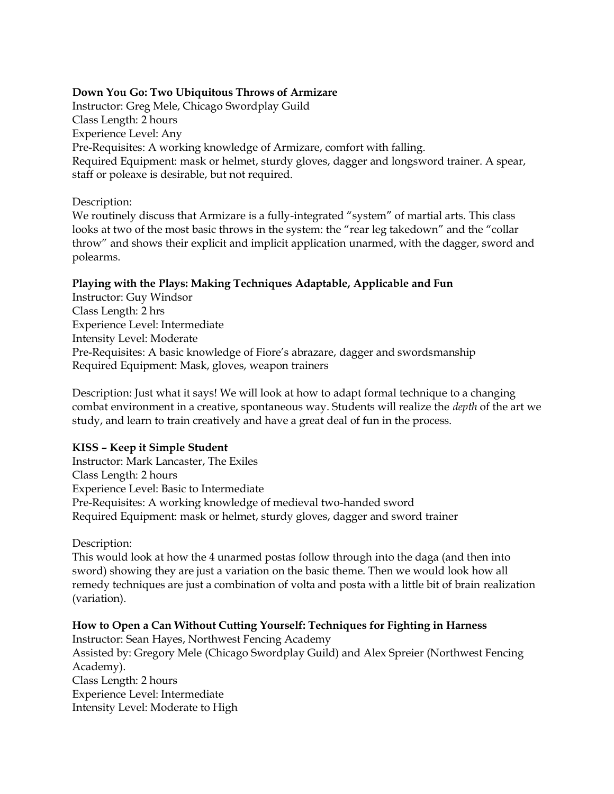#### **Down You Go: Two Ubiquitous Throws of Armizare**

Instructor: Greg Mele, Chicago Swordplay Guild Class Length: 2 hours Experience Level: Any Pre-Requisites: A working knowledge of Armizare, comfort with falling. Required Equipment: mask or helmet, sturdy gloves, dagger and longsword trainer. A spear, staff or poleaxe is desirable, but not required.

Description:

We routinely discuss that Armizare is a fully-integrated "system" of martial arts. This class looks at two of the most basic throws in the system: the "rear leg takedown" and the "collar throw" and shows their explicit and implicit application unarmed, with the dagger, sword and polearms.

### **Playing with the Plays: Making Techniques Adaptable, Applicable and Fun**

Instructor: Guy Windsor Class Length: 2 hrs Experience Level: Intermediate Intensity Level: Moderate Pre-Requisites: A basic knowledge of Fiore's abrazare, dagger and swordsmanship Required Equipment: Mask, gloves, weapon trainers

Description: Just what it says! We will look at how to adapt formal technique to a changing combat environment in a creative, spontaneous way. Students will realize the *depth* of the art we study, and learn to train creatively and have a great deal of fun in the process.

#### **KISS – Keep it Simple Student**

Instructor: Mark Lancaster, The Exiles Class Length: 2 hours Experience Level: Basic to Intermediate Pre-Requisites: A working knowledge of medieval two-handed sword Required Equipment: mask or helmet, sturdy gloves, dagger and sword trainer

Description:

This would look at how the 4 unarmed postas follow through into the daga (and then into sword) showing they are just a variation on the basic theme. Then we would look how all remedy techniques are just a combination of volta and posta with a little bit of brain realization (variation).

#### **How to Open a Can Without Cutting Yourself: Techniques for Fighting in Harness**

Instructor: Sean Hayes, Northwest Fencing Academy Assisted by: Gregory Mele (Chicago Swordplay Guild) and Alex Spreier (Northwest Fencing Academy). Class Length: 2 hours Experience Level: Intermediate Intensity Level: Moderate to High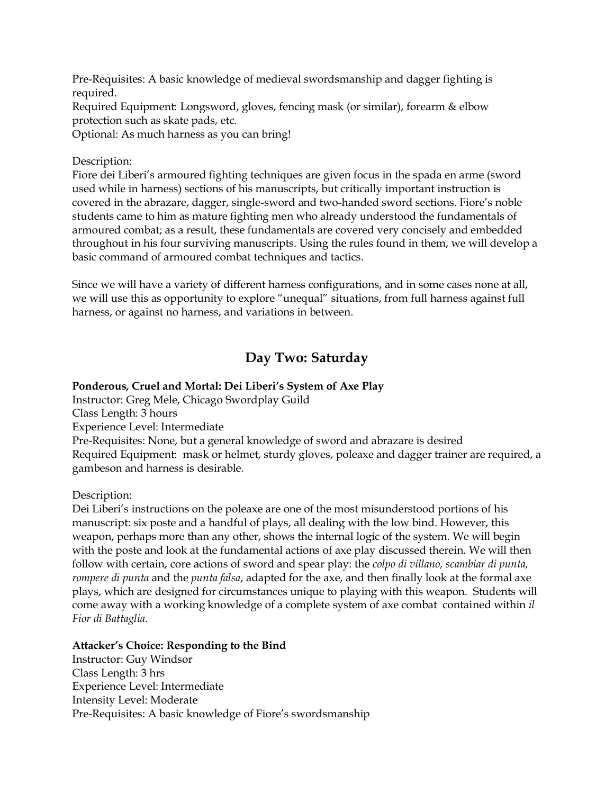Pre-Requisites: A basic knowledge of medieval swordsmanship and dagger fighting is required.

Required Equipment: Longsword, gloves, fencing mask (or similar), forearm & elbow protection such as skate pads, etc.

Optional: As much harness as you can bring!

### Description:

Fiore dei Liberi's armoured fighting techniques are given focus in the spada en arme (sword used while in harness) sections of his manuscripts, but critically important instruction is covered in the abrazare, dagger, single-sword and two-handed sword sections. Fiore's noble students came to him as mature fighting men who already understood the fundamentals of armoured combat; as a result, these fundamentals are covered very concisely and embedded throughout in his four surviving manuscripts. Using the rules found in them, we will develop a basic command of armoured combat techniques and tactics.

Since we will have a variety of different harness configurations, and in some cases none at all, we will use this as opportunity to explore "unequal" situations, from full harness against full harness, or against no harness, and variations in between.

# **Day Two: Saturday**

## **Ponderous, Cruel and Mortal: Dei Liberi's System of Axe Play**

Instructor: Greg Mele, Chicago Swordplay Guild Class Length: 3 hours Experience Level: Intermediate Pre-Requisites: None, but a general knowledge of sword and abrazare is desired

Required Equipment: mask or helmet, sturdy gloves, poleaxe and dagger trainer are required, a gambeson and harness is desirable.

Description:

Dei Liberi's instructions on the poleaxe are one of the most misunderstood portions of his manuscript: six poste and a handful of plays, all dealing with the low bind. However, this weapon, perhaps more than any other, shows the internal logic of the system. We will begin with the poste and look at the fundamental actions of axe play discussed therein. We will then follow with certain, core actions of sword and spear play: the *colpo di villano, scambiar di punta, rompere di punta* and the *punta falsa*, adapted for the axe, and then finally look at the formal axe plays, which are designed for circumstances unique to playing with this weapon. Students will come away with a working knowledge of a complete system of axe combat contained within *il Fior di Battaglia*.

#### **Attacker's Choice: Responding to the Bind**

Instructor: Guy Windsor Class Length: 3 hrs Experience Level: Intermediate Intensity Level: Moderate Pre-Requisites: A basic knowledge of Fiore's swordsmanship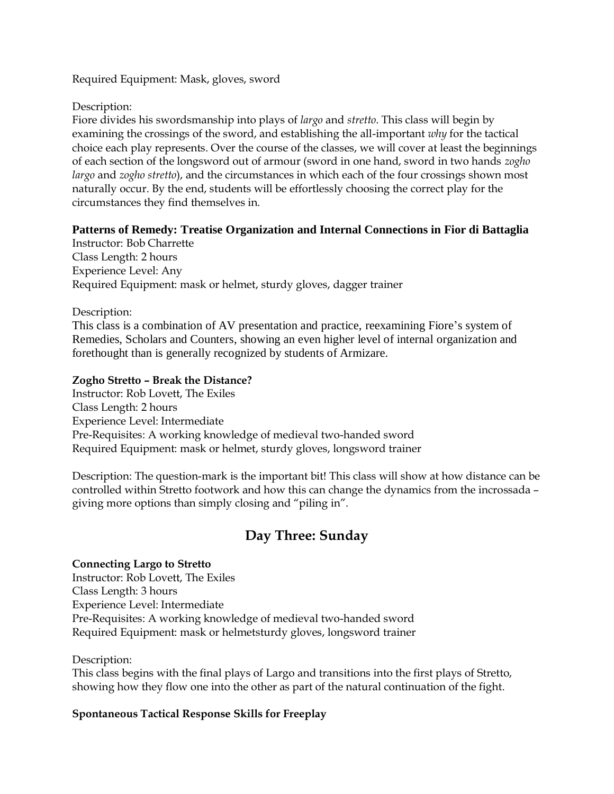Required Equipment: Mask, gloves, sword

Description:

Fiore divides his swordsmanship into plays of *largo* and *stretto*. This class will begin by examining the crossings of the sword, and establishing the all-important *why* for the tactical choice each play represents. Over the course of the classes, we will cover at least the beginnings of each section of the longsword out of armour (sword in one hand, sword in two hands *zogho largo* and *zogho stretto*), and the circumstances in which each of the four crossings shown most naturally occur. By the end, students will be effortlessly choosing the correct play for the circumstances they find themselves in.

# **Patterns of Remedy: Treatise Organization and Internal Connections in Fior di Battaglia**

Instructor: Bob Charrette Class Length: 2 hours Experience Level: Any Required Equipment: mask or helmet, sturdy gloves, dagger trainer

Description:

This class is a combination of AV presentation and practice, reexamining Fiore's system of Remedies, Scholars and Counters, showing an even higher level of internal organization and forethought than is generally recognized by students of Armizare.

### **Zogho Stretto – Break the Distance?**

Instructor: Rob Lovett, The Exiles Class Length: 2 hours Experience Level: Intermediate Pre-Requisites: A working knowledge of medieval two-handed sword Required Equipment: mask or helmet, sturdy gloves, longsword trainer

Description: The question-mark is the important bit! This class will show at how distance can be controlled within Stretto footwork and how this can change the dynamics from the incrossada – giving more options than simply closing and "piling in".

# **Day Three: Sunday**

#### **Connecting Largo to Stretto**

Instructor: Rob Lovett, The Exiles Class Length: 3 hours Experience Level: Intermediate Pre-Requisites: A working knowledge of medieval two-handed sword Required Equipment: mask or helmetsturdy gloves, longsword trainer

Description:

This class begins with the final plays of Largo and transitions into the first plays of Stretto, showing how they flow one into the other as part of the natural continuation of the fight.

#### **Spontaneous Tactical Response Skills for Freeplay**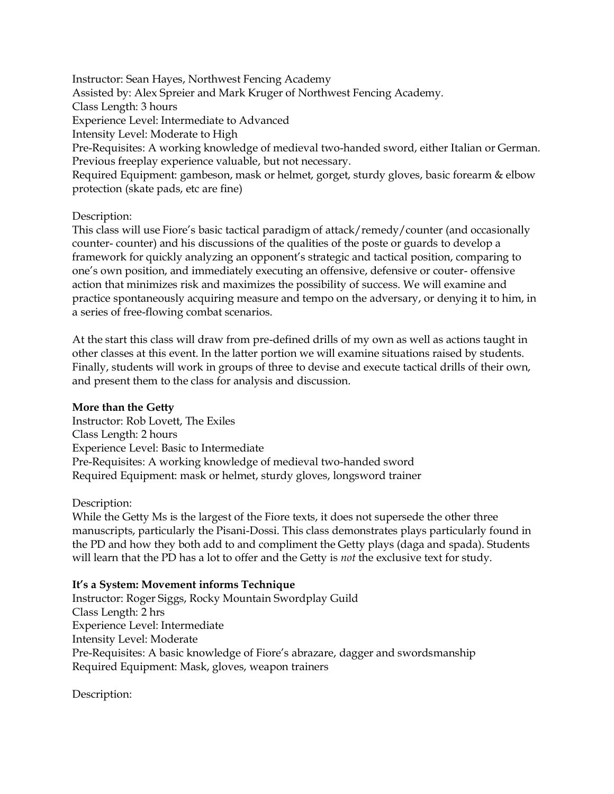Instructor: Sean Hayes, Northwest Fencing Academy Assisted by: Alex Spreier and Mark Kruger of Northwest Fencing Academy. Class Length: 3 hours Experience Level: Intermediate to Advanced Intensity Level: Moderate to High Pre-Requisites: A working knowledge of medieval two-handed sword, either Italian or German. Previous freeplay experience valuable, but not necessary. Required Equipment: gambeson, mask or helmet, gorget, sturdy gloves, basic forearm & elbow protection (skate pads, etc are fine)

#### Description:

This class will use Fiore's basic tactical paradigm of attack/remedy/counter (and occasionally counter- counter) and his discussions of the qualities of the poste or guards to develop a framework for quickly analyzing an opponent's strategic and tactical position, comparing to one's own position, and immediately executing an offensive, defensive or couter- offensive action that minimizes risk and maximizes the possibility of success. We will examine and practice spontaneously acquiring measure and tempo on the adversary, or denying it to him, in a series of free-flowing combat scenarios.

At the start this class will draw from pre-defined drills of my own as well as actions taught in other classes at this event. In the latter portion we will examine situations raised by students. Finally, students will work in groups of three to devise and execute tactical drills of their own, and present them to the class for analysis and discussion.

#### **More than the Getty**

Instructor: Rob Lovett, The Exiles Class Length: 2 hours Experience Level: Basic to Intermediate Pre-Requisites: A working knowledge of medieval two-handed sword Required Equipment: mask or helmet, sturdy gloves, longsword trainer

#### Description:

While the Getty Ms is the largest of the Fiore texts, it does not supersede the other three manuscripts, particularly the Pisani-Dossi. This class demonstrates plays particularly found in the PD and how they both add to and compliment the Getty plays (daga and spada). Students will learn that the PD has a lot to offer and the Getty is *not* the exclusive text for study.

#### **It's a System: Movement informs Technique**

Instructor: Roger Siggs, Rocky Mountain Swordplay Guild Class Length: 2 hrs Experience Level: Intermediate Intensity Level: Moderate Pre-Requisites: A basic knowledge of Fiore's abrazare, dagger and swordsmanship Required Equipment: Mask, gloves, weapon trainers

Description: